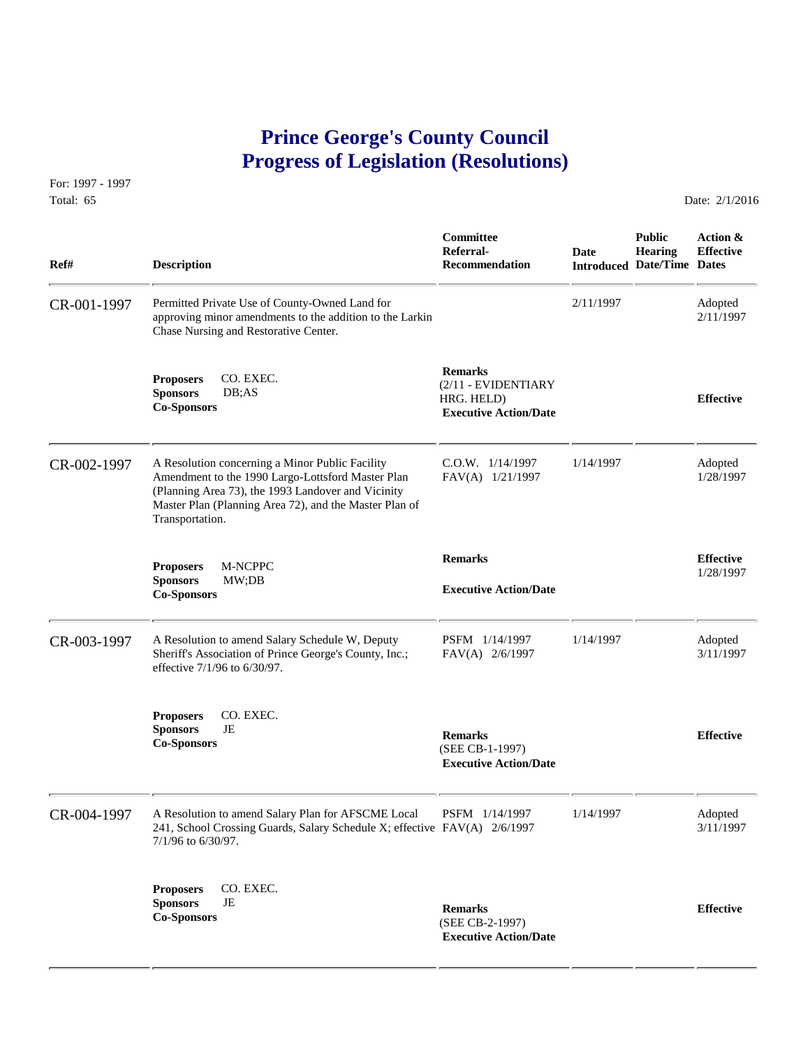## **Prince George's County Council Progress of Legislation (Resolutions)**

**Ref# Description Recommendation Introduced Date/Time Dates**

CR-001-1997 Permitted Private Use of County-Owned Land for 2/11/1997 Adopted<br>approving minor amendments to the addition to the Larkin 2/11/1997 2/11/1997

For: 1997 - 1997 Total: 65 Date: 2/1/2016

 **Remarks Proposers** CO. EXEC. (2/11 - EVIDENTIARY **Sponsors** DB;AS HRG. HELD) **Effective Co-Sponsors Executive Action/Date** CR-002-1997 A Resolution concerning a Minor Public Facility C.O.W. 1/14/1997 1/14/1997 Adopted<br>Amendment to the 1990 Largo-Lottsford Master Plan FAV(A) 1/21/1997 1/28/1997 Amendment to the 1990 Largo-Lottsford Master Plan (Planning Area 73), the 1993 Landover and Vicinity Master Plan (Planning Area 72), and the Master Plan of **Remarks Effective Effective**<br> **Executive Action/Date** 1/28/1997<br> **Co-Sponsors Executive Action/Date** 

 **Committee Public Action & Referral- Date Hearing Effective**

## CR-003-1997 A Resolution to amend Salary Schedule W, Deputy PSFM 1/14/1997 1/14/1997 Adopted<br>Sheriff's Association of Prince George's County, Inc.; FAV(A) 2/6/1997 3/11/1997 Sheriff's Association of Prince George's County, Inc.; effective 7/1/96 to 6/30/97.

approving minor amendments to the addition to the Larkin

Chase Nursing and Restorative Center.

Transportation.

**Proposers** CO. EXEC.

**Sponsors** JE **Remarks Effective Co-Sponsors** (SEE CB-1-1997)  **Executive Action/Date** CR-004-1997 A Resolution to amend Salary Plan for AFSCME Local PSFM 1/14/1997 1/14/1997 Adopted<br>241, School Crossing Guards, Salary Schedule X; effective FAV(A) 2/6/1997 3/11/1997 241, School Crossing Guards, Salary Schedule X; effective FAV(A) 2/6/1997 7/1/96 to 6/30/97. **Proposers** CO. EXEC. **Sponsors** JE **Remarks Effective Co-Sponsors** (SEE CB-2-1997)

 **Executive Action/Date**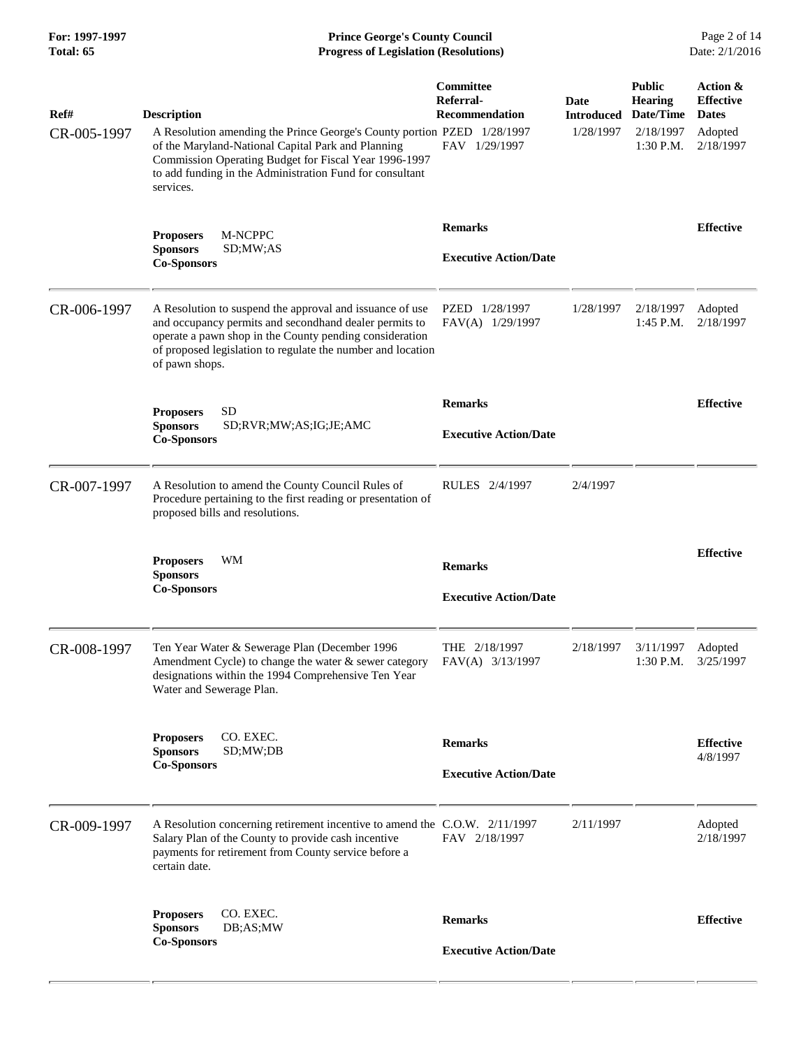**For: 1997-1997 Prince George's County Council** Page 2 of 14<br> **Progress of Legislation (Resolutions)** Date: 2/1/2016 **Total: 65 Progress of Legislation (Resolutions)** 

| Ref#<br>CR-005-1997 | <b>Description</b><br>A Resolution amending the Prince George's County portion PZED 1/28/1997<br>of the Maryland-National Capital Park and Planning<br>Commission Operating Budget for Fiscal Year 1996-1997<br>to add funding in the Administration Fund for consultant<br>services. | <b>Committee</b><br>Referral-<br><b>Recommendation</b><br>FAV 1/29/1997 | Date<br><b>Introduced</b><br>1/28/1997 | <b>Public</b><br><b>Hearing</b><br>Date/Time<br>2/18/1997<br>$1:30$ P.M. | Action &<br><b>Effective</b><br><b>Dates</b><br>Adopted<br>2/18/1997 |
|---------------------|---------------------------------------------------------------------------------------------------------------------------------------------------------------------------------------------------------------------------------------------------------------------------------------|-------------------------------------------------------------------------|----------------------------------------|--------------------------------------------------------------------------|----------------------------------------------------------------------|
|                     | <b>Proposers</b><br>M-NCPPC<br><b>Sponsors</b><br>SD;MW;AS<br><b>Co-Sponsors</b>                                                                                                                                                                                                      | <b>Remarks</b><br><b>Executive Action/Date</b>                          |                                        |                                                                          | <b>Effective</b>                                                     |
| CR-006-1997         | A Resolution to suspend the approval and issuance of use<br>and occupancy permits and secondhand dealer permits to<br>operate a pawn shop in the County pending consideration<br>of proposed legislation to regulate the number and location<br>of pawn shops.                        | PZED 1/28/1997<br>FAV(A) 1/29/1997                                      | 1/28/1997                              | 2/18/1997<br>$1:45$ P.M.                                                 | Adopted<br>2/18/1997                                                 |
|                     | <b>SD</b>                                                                                                                                                                                                                                                                             | <b>Remarks</b>                                                          |                                        |                                                                          | <b>Effective</b>                                                     |
|                     | <b>Proposers</b><br><b>Sponsors</b><br>SD;RVR;MW;AS;IG;JE;AMC<br><b>Co-Sponsors</b>                                                                                                                                                                                                   | <b>Executive Action/Date</b>                                            |                                        |                                                                          |                                                                      |
| CR-007-1997         | A Resolution to amend the County Council Rules of<br>Procedure pertaining to the first reading or presentation of<br>proposed bills and resolutions.                                                                                                                                  | RULES 2/4/1997                                                          | 2/4/1997                               |                                                                          |                                                                      |
|                     | <b>Proposers</b><br>WM<br><b>Sponsors</b><br><b>Co-Sponsors</b>                                                                                                                                                                                                                       | <b>Remarks</b><br><b>Executive Action/Date</b>                          |                                        |                                                                          | <b>Effective</b>                                                     |
| CR-008-1997         | Ten Year Water & Sewerage Plan (December 1996<br>Amendment Cycle) to change the water $\&$ sewer category<br>designations within the 1994 Comprehensive Ten Year<br>Water and Sewerage Plan.                                                                                          | THE 2/18/1997<br>FAV(A) 3/13/1997                                       | 2/18/1997                              | 3/11/1997<br>1:30 P.M.                                                   | Adopted<br>3/25/1997                                                 |
|                     | CO. EXEC.<br><b>Proposers</b>                                                                                                                                                                                                                                                         | <b>Remarks</b>                                                          |                                        |                                                                          | <b>Effective</b>                                                     |
|                     | <b>Sponsors</b><br>SD;MW;DB<br><b>Co-Sponsors</b>                                                                                                                                                                                                                                     |                                                                         |                                        |                                                                          | 4/8/1997                                                             |
|                     |                                                                                                                                                                                                                                                                                       | <b>Executive Action/Date</b>                                            |                                        |                                                                          |                                                                      |
| CR-009-1997         | A Resolution concerning retirement incentive to amend the C.O.W. 2/11/1997<br>Salary Plan of the County to provide cash incentive<br>payments for retirement from County service before a<br>certain date.                                                                            | FAV 2/18/1997                                                           | 2/11/1997                              |                                                                          | Adopted<br>2/18/1997                                                 |
|                     | <b>Proposers</b><br>CO. EXEC.<br><b>Sponsors</b><br>DB;AS;MW                                                                                                                                                                                                                          | <b>Remarks</b>                                                          |                                        |                                                                          | <b>Effective</b>                                                     |
|                     | <b>Co-Sponsors</b>                                                                                                                                                                                                                                                                    | <b>Executive Action/Date</b>                                            |                                        |                                                                          |                                                                      |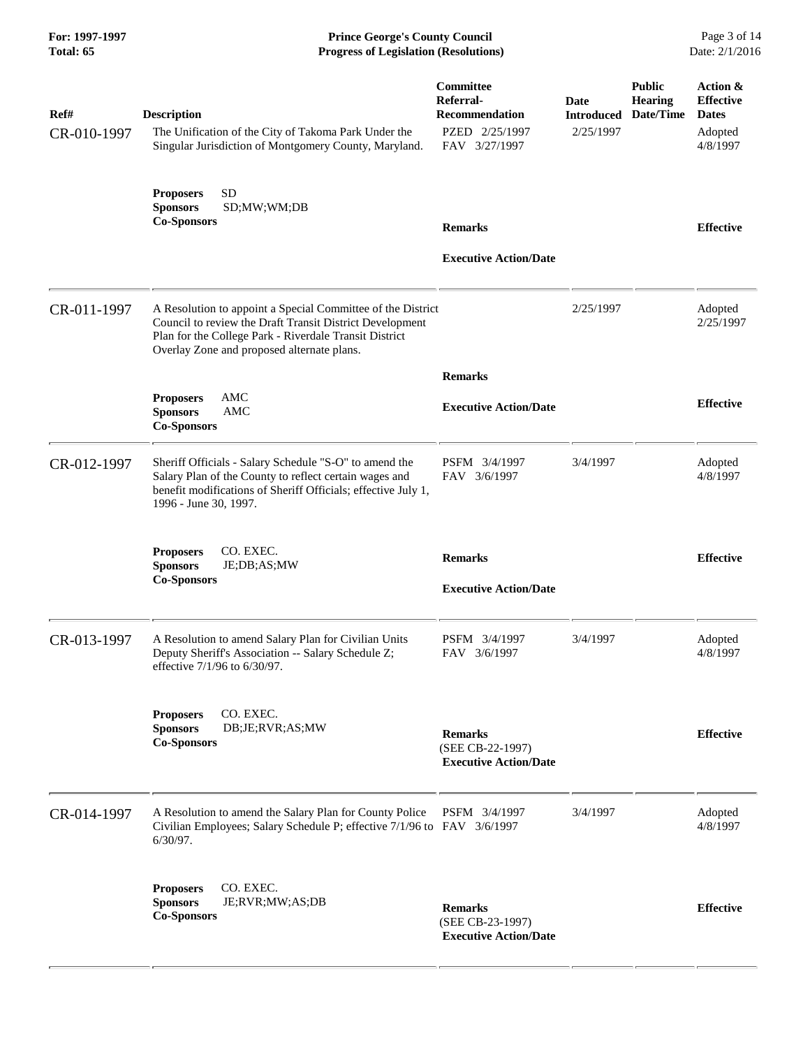| For: 1997-1997<br>Total: 65 | <b>Prince George's County Council</b><br>Date: 2/1/2016<br><b>Progress of Legislation (Resolutions)</b>                                                                                                                         |                                                                                           |                                        |                                              |                                                                     |
|-----------------------------|---------------------------------------------------------------------------------------------------------------------------------------------------------------------------------------------------------------------------------|-------------------------------------------------------------------------------------------|----------------------------------------|----------------------------------------------|---------------------------------------------------------------------|
| Ref#<br>CR-010-1997         | <b>Description</b><br>The Unification of the City of Takoma Park Under the<br>Singular Jurisdiction of Montgomery County, Maryland.                                                                                             | <b>Committee</b><br>Referral-<br><b>Recommendation</b><br>PZED 2/25/1997<br>FAV 3/27/1997 | Date<br><b>Introduced</b><br>2/25/1997 | <b>Public</b><br><b>Hearing</b><br>Date/Time | Action &<br><b>Effective</b><br><b>Dates</b><br>Adopted<br>4/8/1997 |
|                             | <b>SD</b><br><b>Proposers</b><br><b>Sponsors</b><br>SD;MW;WM;DB<br><b>Co-Sponsors</b>                                                                                                                                           | <b>Remarks</b><br><b>Executive Action/Date</b>                                            |                                        |                                              | <b>Effective</b>                                                    |
| CR-011-1997                 | A Resolution to appoint a Special Committee of the District<br>Council to review the Draft Transit District Development<br>Plan for the College Park - Riverdale Transit District<br>Overlay Zone and proposed alternate plans. |                                                                                           | 2/25/1997                              |                                              | Adopted<br>2/25/1997                                                |
|                             | AMC<br><b>Proposers</b><br><b>Sponsors</b><br>AMC<br><b>Co-Sponsors</b>                                                                                                                                                         | <b>Remarks</b><br><b>Executive Action/Date</b>                                            |                                        |                                              | <b>Effective</b>                                                    |
| CR-012-1997                 | Sheriff Officials - Salary Schedule "S-O" to amend the<br>Salary Plan of the County to reflect certain wages and<br>benefit modifications of Sheriff Officials; effective July 1,<br>1996 - June 30, 1997.                      | PSFM 3/4/1997<br>FAV 3/6/1997                                                             | 3/4/1997                               |                                              | Adopted<br>4/8/1997                                                 |
|                             | CO. EXEC.<br><b>Proposers</b><br><b>Sponsors</b><br>JE;DB;AS;MW<br><b>Co-Sponsors</b>                                                                                                                                           | <b>Remarks</b><br><b>Executive Action/Date</b>                                            |                                        |                                              | <b>Effective</b>                                                    |
| CR-013-1997                 | A Resolution to amend Salary Plan for Civilian Units<br>Deputy Sheriff's Association -- Salary Schedule Z;<br>effective 7/1/96 to 6/30/97.                                                                                      | PSFM 3/4/1997<br>FAV 3/6/1997                                                             | 3/4/1997                               |                                              | Adopted<br>4/8/1997                                                 |
|                             | CO. EXEC.<br><b>Proposers</b><br><b>Sponsors</b><br>DB;JE;RVR;AS;MW<br><b>Co-Sponsors</b>                                                                                                                                       | <b>Remarks</b><br>(SEE CB-22-1997)<br><b>Executive Action/Date</b>                        |                                        |                                              | <b>Effective</b>                                                    |
| CR-014-1997                 | A Resolution to amend the Salary Plan for County Police<br>Civilian Employees; Salary Schedule P; effective 7/1/96 to FAV 3/6/1997<br>$6/30/97$ .                                                                               | PSFM 3/4/1997                                                                             | 3/4/1997                               |                                              | Adopted<br>4/8/1997                                                 |
|                             | CO. EXEC.<br><b>Proposers</b><br><b>Sponsors</b><br>JE;RVR;MW;AS;DB<br><b>Co-Sponsors</b>                                                                                                                                       | <b>Remarks</b><br>(SEE CB-23-1997)<br><b>Executive Action/Date</b>                        |                                        |                                              | <b>Effective</b>                                                    |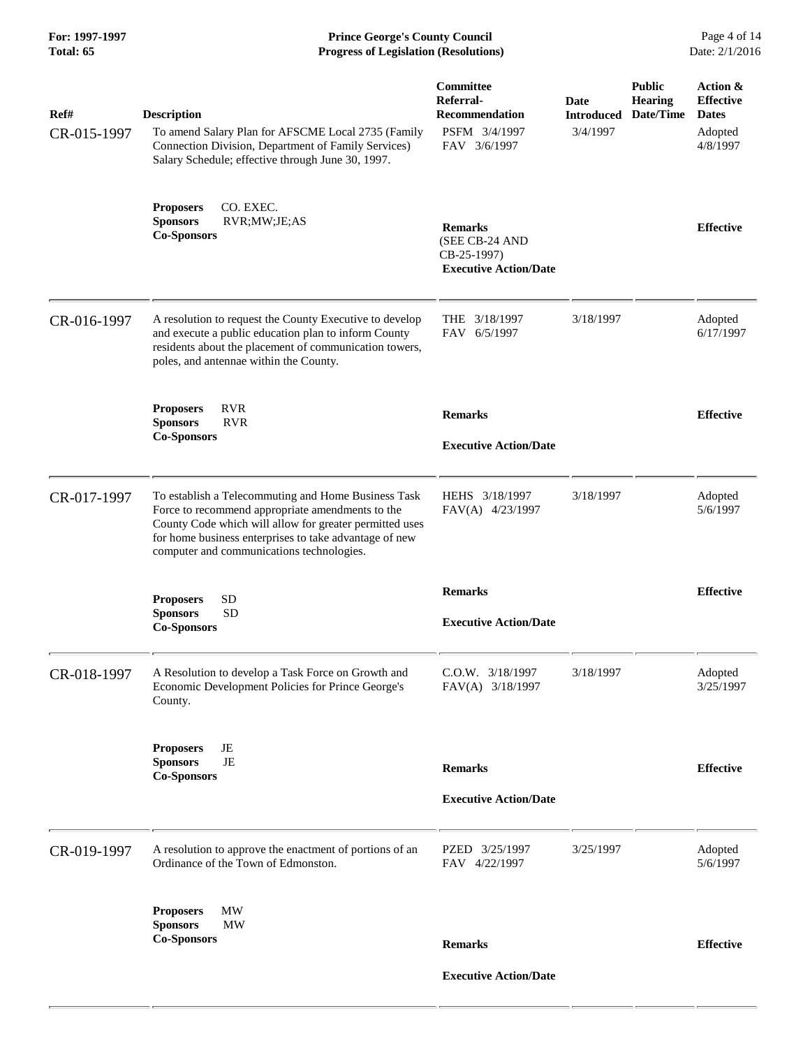**For: 1997-1997 Prince George's County Council** Page 4 of 14<br> **Progress of Legislation (Resolutions)** Date: 2/1/2016 **Total: 65 Progress of Legislation (Resolutions)** 

| Ref#<br>CR-015-1997 | <b>Description</b><br>To amend Salary Plan for AFSCME Local 2735 (Family<br>Connection Division, Department of Family Services)<br>Salary Schedule; effective through June 30, 1997.                                                                                      | Committee<br>Referral-<br><b>Recommendation</b><br>PSFM 3/4/1997<br>FAV 3/6/1997 | Date<br><b>Introduced</b><br>3/4/1997 | <b>Public</b><br><b>Hearing</b><br>Date/Time | Action &<br><b>Effective</b><br><b>Dates</b><br>Adopted<br>4/8/1997 |
|---------------------|---------------------------------------------------------------------------------------------------------------------------------------------------------------------------------------------------------------------------------------------------------------------------|----------------------------------------------------------------------------------|---------------------------------------|----------------------------------------------|---------------------------------------------------------------------|
|                     | <b>Proposers</b><br>CO. EXEC.<br>RVR;MW;JE;AS<br><b>Sponsors</b><br><b>Co-Sponsors</b>                                                                                                                                                                                    | <b>Remarks</b><br>(SEE CB-24 AND<br>CB-25-1997)<br><b>Executive Action/Date</b>  |                                       |                                              | <b>Effective</b>                                                    |
| CR-016-1997         | A resolution to request the County Executive to develop<br>and execute a public education plan to inform County<br>residents about the placement of communication towers,<br>poles, and antennae within the County.                                                       | THE 3/18/1997<br>FAV 6/5/1997                                                    | 3/18/1997                             |                                              | Adopted<br>6/17/1997                                                |
|                     | <b>RVR</b><br><b>Proposers</b><br><b>Sponsors</b><br><b>RVR</b><br><b>Co-Sponsors</b>                                                                                                                                                                                     | <b>Remarks</b><br><b>Executive Action/Date</b>                                   |                                       |                                              | <b>Effective</b>                                                    |
| CR-017-1997         | To establish a Telecommuting and Home Business Task<br>Force to recommend appropriate amendments to the<br>County Code which will allow for greater permitted uses<br>for home business enterprises to take advantage of new<br>computer and communications technologies. | HEHS 3/18/1997<br>FAV(A) 4/23/1997                                               | 3/18/1997                             |                                              | Adopted<br>5/6/1997                                                 |
|                     | <b>SD</b><br><b>Proposers</b><br><b>Sponsors</b><br><b>SD</b><br><b>Co-Sponsors</b>                                                                                                                                                                                       | <b>Remarks</b><br><b>Executive Action/Date</b>                                   |                                       |                                              | <b>Effective</b>                                                    |
| CR-018-1997         | A Resolution to develop a Task Force on Growth and<br>Economic Development Policies for Prince George's<br>County.                                                                                                                                                        | C.O.W. 3/18/1997<br>FAV(A) 3/18/1997                                             | 3/18/1997                             |                                              | Adopted<br>3/25/1997                                                |
|                     | <b>Proposers</b><br>JE<br>$\rm{JE}$<br><b>Sponsors</b><br><b>Co-Sponsors</b>                                                                                                                                                                                              | <b>Remarks</b><br><b>Executive Action/Date</b>                                   |                                       |                                              | <b>Effective</b>                                                    |
| CR-019-1997         | A resolution to approve the enactment of portions of an<br>Ordinance of the Town of Edmonston.                                                                                                                                                                            | PZED 3/25/1997<br>FAV 4/22/1997                                                  | 3/25/1997                             |                                              | Adopted<br>5/6/1997                                                 |
|                     | MW<br><b>Proposers</b><br>MW<br><b>Sponsors</b><br><b>Co-Sponsors</b>                                                                                                                                                                                                     | <b>Remarks</b>                                                                   |                                       |                                              | <b>Effective</b>                                                    |
|                     |                                                                                                                                                                                                                                                                           | <b>Executive Action/Date</b>                                                     |                                       |                                              |                                                                     |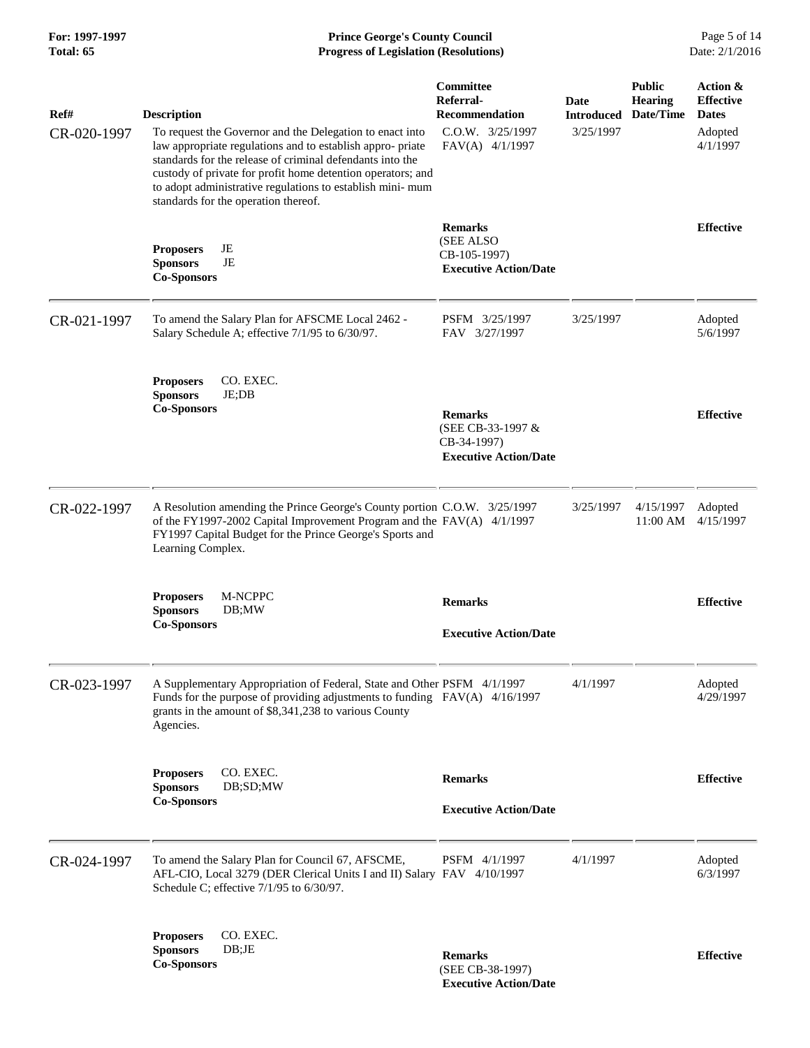| Ref#        | <b>Description</b>                                                                                                                                                                                                                                                                                                                                     | Committee<br>Referral-<br><b>Recommendation</b>                                    | Date<br><b>Introduced</b> | <b>Public</b><br><b>Hearing</b><br>Date/Time | Action &<br><b>Effective</b><br><b>Dates</b> |
|-------------|--------------------------------------------------------------------------------------------------------------------------------------------------------------------------------------------------------------------------------------------------------------------------------------------------------------------------------------------------------|------------------------------------------------------------------------------------|---------------------------|----------------------------------------------|----------------------------------------------|
| CR-020-1997 | To request the Governor and the Delegation to enact into<br>law appropriate regulations and to establish appro-priate<br>standards for the release of criminal defendants into the<br>custody of private for profit home detention operators; and<br>to adopt administrative regulations to establish mini-mum<br>standards for the operation thereof. | $C.0.W.$ $3/25/1997$<br>FAV(A) 4/1/1997                                            | 3/25/1997                 |                                              | Adopted<br>4/1/1997                          |
|             | JE<br><b>Proposers</b><br><b>Sponsors</b><br>JE<br><b>Co-Sponsors</b>                                                                                                                                                                                                                                                                                  | <b>Remarks</b><br>(SEE ALSO<br>CB-105-1997)<br><b>Executive Action/Date</b>        |                           |                                              | <b>Effective</b>                             |
| CR-021-1997 | To amend the Salary Plan for AFSCME Local 2462 -<br>Salary Schedule A; effective 7/1/95 to 6/30/97.                                                                                                                                                                                                                                                    | PSFM 3/25/1997<br>FAV 3/27/1997                                                    | 3/25/1997                 |                                              | Adopted<br>5/6/1997                          |
|             | CO. EXEC.<br><b>Proposers</b><br><b>Sponsors</b><br>JE:DB<br><b>Co-Sponsors</b>                                                                                                                                                                                                                                                                        | <b>Remarks</b><br>(SEE CB-33-1997 &<br>CB-34-1997)<br><b>Executive Action/Date</b> |                           |                                              | <b>Effective</b>                             |
| CR-022-1997 | A Resolution amending the Prince George's County portion C.O.W. 3/25/1997<br>of the FY1997-2002 Capital Improvement Program and the FAV(A) 4/1/1997<br>FY1997 Capital Budget for the Prince George's Sports and<br>Learning Complex.                                                                                                                   |                                                                                    | 3/25/1997                 | 4/15/1997<br>$11:00$ AM                      | Adopted<br>4/15/1997                         |
|             | <b>Proposers</b><br><b>M-NCPPC</b><br><b>Sponsors</b><br>DB;MW<br><b>Co-Sponsors</b>                                                                                                                                                                                                                                                                   | <b>Remarks</b><br><b>Executive Action/Date</b>                                     |                           |                                              | <b>Effective</b>                             |
| CR-023-1997 | A Supplementary Appropriation of Federal, State and Other PSFM 4/1/1997<br>Funds for the purpose of providing adjustments to funding FAV(A) 4/16/1997<br>grants in the amount of \$8,341,238 to various County<br>Agencies.                                                                                                                            |                                                                                    | 4/1/1997                  |                                              | Adopted<br>4/29/1997                         |
|             | CO. EXEC.<br><b>Proposers</b><br><b>Sponsors</b><br>DB;SD;MW<br><b>Co-Sponsors</b>                                                                                                                                                                                                                                                                     | <b>Remarks</b><br><b>Executive Action/Date</b>                                     |                           |                                              | <b>Effective</b>                             |
| CR-024-1997 | To amend the Salary Plan for Council 67, AFSCME,<br>AFL-CIO, Local 3279 (DER Clerical Units I and II) Salary FAV 4/10/1997<br>Schedule C; effective 7/1/95 to 6/30/97.                                                                                                                                                                                 | PSFM 4/1/1997                                                                      | 4/1/1997                  |                                              | Adopted<br>6/3/1997                          |
|             | CO. EXEC.<br><b>Proposers</b><br><b>Sponsors</b><br>DB;JE<br><b>Co-Sponsors</b>                                                                                                                                                                                                                                                                        | <b>Remarks</b><br>(SEE CB-38-1997)<br><b>Executive Action/Date</b>                 |                           |                                              | <b>Effective</b>                             |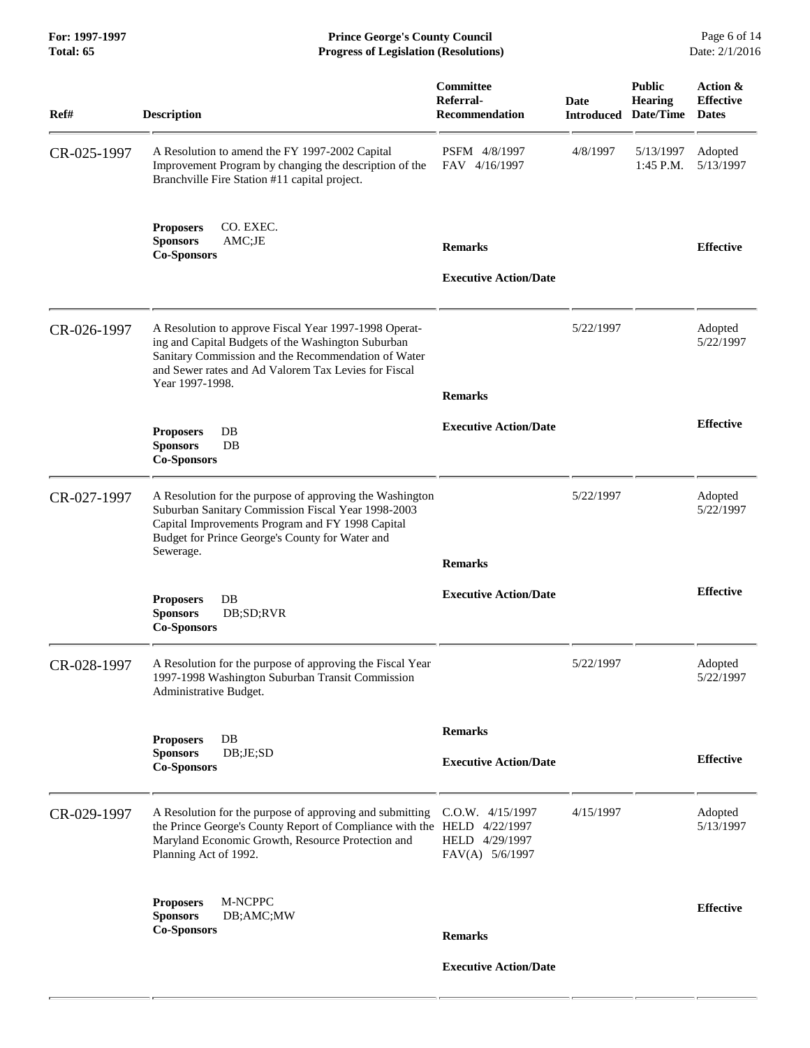**For: 1997-1997 Prince George's County Council** Page 6 of 14<br> **Progress of Legislation (Resolutions)** Date: 2/1/2016 **Total: 65 Progress of Legislation (Resolutions)** 

| Ref#        | <b>Description</b>                                                                                                                                                                                                                            | Committee<br>Referral-<br><b>Recommendation</b>       | <b>Date</b><br><b>Introduced</b> | <b>Public</b><br><b>Hearing</b><br>Date/Time | Action &<br><b>Effective</b><br><b>Dates</b> |
|-------------|-----------------------------------------------------------------------------------------------------------------------------------------------------------------------------------------------------------------------------------------------|-------------------------------------------------------|----------------------------------|----------------------------------------------|----------------------------------------------|
| CR-025-1997 | A Resolution to amend the FY 1997-2002 Capital<br>Improvement Program by changing the description of the<br>Branchville Fire Station #11 capital project.                                                                                     | PSFM 4/8/1997<br>FAV 4/16/1997                        | 4/8/1997                         | 5/13/1997<br>1:45 P.M.                       | Adopted<br>5/13/1997                         |
|             | CO. EXEC.<br><b>Proposers</b><br>AMC;JE<br><b>Sponsors</b><br><b>Co-Sponsors</b>                                                                                                                                                              | <b>Remarks</b><br><b>Executive Action/Date</b>        |                                  |                                              | <b>Effective</b>                             |
| CR-026-1997 | A Resolution to approve Fiscal Year 1997-1998 Operat-<br>ing and Capital Budgets of the Washington Suburban<br>Sanitary Commission and the Recommendation of Water<br>and Sewer rates and Ad Valorem Tax Levies for Fiscal<br>Year 1997-1998. | <b>Remarks</b>                                        | 5/22/1997                        |                                              | Adopted<br>5/22/1997                         |
|             | $DB$<br><b>Proposers</b><br><b>Sponsors</b><br>DB<br><b>Co-Sponsors</b>                                                                                                                                                                       | <b>Executive Action/Date</b>                          |                                  |                                              | <b>Effective</b>                             |
| CR-027-1997 | A Resolution for the purpose of approving the Washington<br>Suburban Sanitary Commission Fiscal Year 1998-2003<br>Capital Improvements Program and FY 1998 Capital<br>Budget for Prince George's County for Water and<br>Sewerage.            | <b>Remarks</b>                                        | 5/22/1997                        |                                              | Adopted<br>5/22/1997                         |
|             | $DB$<br><b>Proposers</b><br><b>Sponsors</b><br>DB;SD;RVR<br><b>Co-Sponsors</b>                                                                                                                                                                | <b>Executive Action/Date</b>                          |                                  |                                              | <b>Effective</b>                             |
| CR-028-1997 | A Resolution for the purpose of approving the Fiscal Year<br>1997-1998 Washington Suburban Transit Commission<br>Administrative Budget.                                                                                                       |                                                       | 5/22/1997                        |                                              | Adopted<br>5/22/1997                         |
|             | $DB$<br><b>Proposers</b><br><b>Sponsors</b><br>DB; JE; SD<br><b>Co-Sponsors</b>                                                                                                                                                               | <b>Remarks</b><br><b>Executive Action/Date</b>        |                                  |                                              | <b>Effective</b>                             |
| CR-029-1997 | A Resolution for the purpose of approving and submitting<br>the Prince George's County Report of Compliance with the HELD 4/22/1997<br>Maryland Economic Growth, Resource Protection and<br>Planning Act of 1992.                             | C.O.W. 4/15/1997<br>HELD 4/29/1997<br>FAV(A) 5/6/1997 | 4/15/1997                        |                                              | Adopted<br>5/13/1997                         |
|             | M-NCPPC<br><b>Proposers</b><br><b>Sponsors</b><br>DB;AMC;MW<br><b>Co-Sponsors</b>                                                                                                                                                             | <b>Remarks</b>                                        |                                  |                                              | <b>Effective</b>                             |
|             |                                                                                                                                                                                                                                               | <b>Executive Action/Date</b>                          |                                  |                                              |                                              |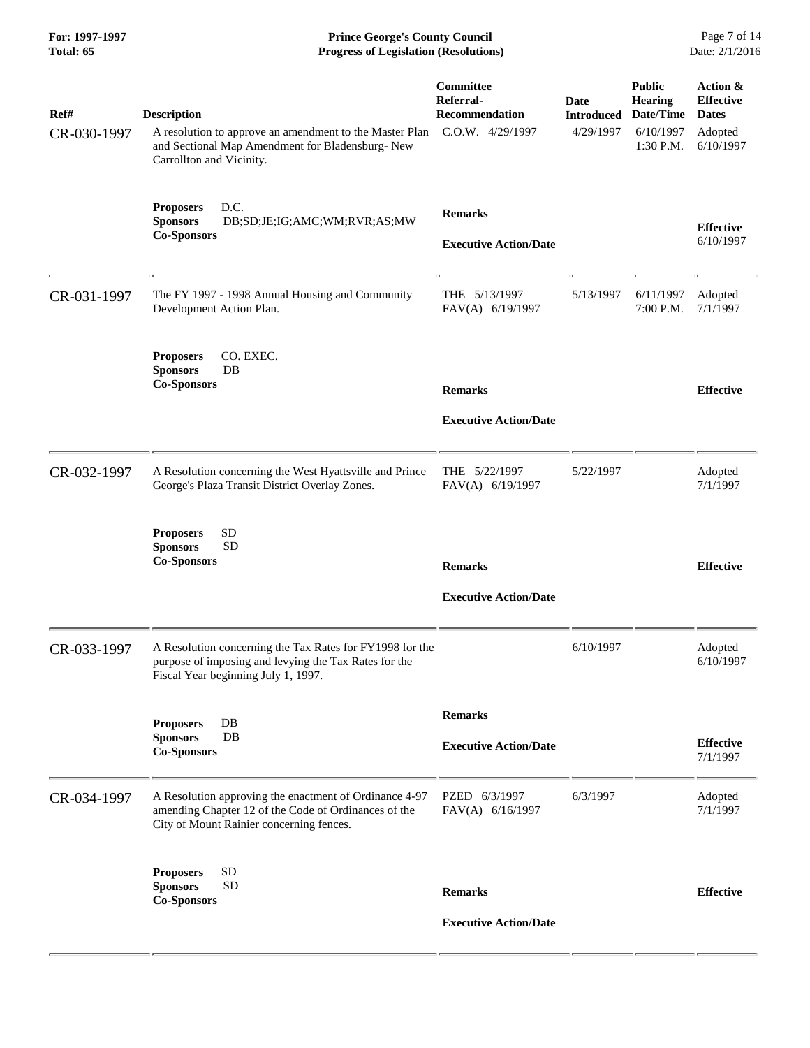| For: 1997-1997<br>Total: 65 | <b>Prince George's County Council</b><br>Date: 2/1/2016<br><b>Progress of Legislation (Resolutions)</b>                                                       |                                                                     |                                        |                                                                          |                                                                      |
|-----------------------------|---------------------------------------------------------------------------------------------------------------------------------------------------------------|---------------------------------------------------------------------|----------------------------------------|--------------------------------------------------------------------------|----------------------------------------------------------------------|
| Ref#<br>CR-030-1997         | <b>Description</b><br>A resolution to approve an amendment to the Master Plan<br>and Sectional Map Amendment for Bladensburg- New<br>Carrollton and Vicinity. | Committee<br>Referral-<br><b>Recommendation</b><br>C.O.W. 4/29/1997 | Date<br><b>Introduced</b><br>4/29/1997 | <b>Public</b><br><b>Hearing</b><br>Date/Time<br>6/10/1997<br>$1:30$ P.M. | Action &<br><b>Effective</b><br><b>Dates</b><br>Adopted<br>6/10/1997 |
|                             | <b>Proposers</b><br>D.C.<br><b>Sponsors</b><br>DB;SD;JE;IG;AMC;WM;RVR;AS;MW<br><b>Co-Sponsors</b>                                                             | <b>Remarks</b><br><b>Executive Action/Date</b>                      |                                        |                                                                          | <b>Effective</b><br>6/10/1997                                        |
| CR-031-1997                 | The FY 1997 - 1998 Annual Housing and Community<br>Development Action Plan.                                                                                   | THE 5/13/1997<br>FAV(A) 6/19/1997                                   | 5/13/1997                              | 6/11/1997<br>7:00 P.M.                                                   | Adopted<br>7/1/1997                                                  |
|                             | CO. EXEC.<br><b>Proposers</b><br><b>Sponsors</b><br>$DB$<br><b>Co-Sponsors</b>                                                                                | <b>Remarks</b><br><b>Executive Action/Date</b>                      |                                        |                                                                          | <b>Effective</b>                                                     |
| CR-032-1997                 | A Resolution concerning the West Hyattsville and Prince<br>George's Plaza Transit District Overlay Zones.                                                     | THE 5/22/1997<br>FAV(A) 6/19/1997                                   | 5/22/1997                              |                                                                          | Adopted<br>7/1/1997                                                  |
|                             | <b>SD</b><br><b>Proposers</b><br><b>SD</b><br><b>Sponsors</b><br><b>Co-Sponsors</b>                                                                           | <b>Remarks</b><br><b>Executive Action/Date</b>                      |                                        |                                                                          | <b>Effective</b>                                                     |
| CR-033-1997                 | A Resolution concerning the Tax Rates for FY1998 for the<br>purpose of imposing and levying the Tax Rates for the<br>Fiscal Year beginning July 1, 1997.      |                                                                     | 6/10/1997                              |                                                                          | Adopted<br>6/10/1997                                                 |
|                             | $DB$<br><b>Proposers</b><br>$DB$<br><b>Sponsors</b><br><b>Co-Sponsors</b>                                                                                     | <b>Remarks</b><br><b>Executive Action/Date</b>                      |                                        |                                                                          | <b>Effective</b><br>7/1/1997                                         |
| CR-034-1997                 | A Resolution approving the enactment of Ordinance 4-97<br>amending Chapter 12 of the Code of Ordinances of the<br>City of Mount Rainier concerning fences.    | PZED 6/3/1997<br>FAV(A) 6/16/1997                                   | 6/3/1997                               |                                                                          | Adopted<br>7/1/1997                                                  |
|                             | <b>SD</b><br><b>Proposers</b><br><b>Sponsors</b><br><b>SD</b><br><b>Co-Sponsors</b>                                                                           | <b>Remarks</b><br><b>Executive Action/Date</b>                      |                                        |                                                                          | <b>Effective</b>                                                     |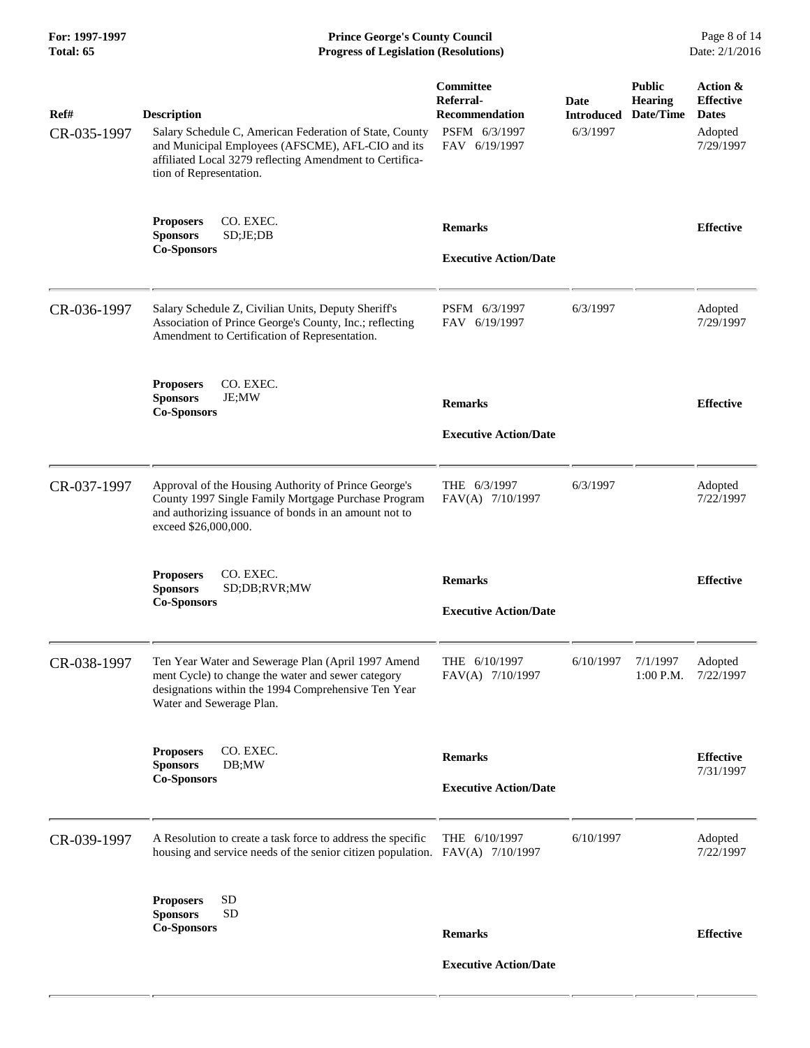**For: 1997-1997 Prince George's County Council** Page 8 of 14<br> **Progress of Legislation (Resolutions)** Date: 2/1/2016 **Total: 65 Progress of Legislation (Resolutions)** 

| Ref#<br>CR-035-1997 | <b>Description</b><br>Salary Schedule C, American Federation of State, County<br>and Municipal Employees (AFSCME), AFL-CIO and its<br>affiliated Local 3279 reflecting Amendment to Certifica-<br>tion of Representation. | Committee<br>Referral-<br>Recommendation<br>PSFM 6/3/1997<br>FAV 6/19/1997 | <b>Date</b><br><b>Introduced</b><br>6/3/1997 | <b>Public</b><br><b>Hearing</b><br>Date/Time | Action &<br><b>Effective</b><br><b>Dates</b><br>Adopted<br>7/29/1997 |
|---------------------|---------------------------------------------------------------------------------------------------------------------------------------------------------------------------------------------------------------------------|----------------------------------------------------------------------------|----------------------------------------------|----------------------------------------------|----------------------------------------------------------------------|
|                     | CO. EXEC.<br><b>Proposers</b><br><b>Sponsors</b><br>SD;JE;DB<br><b>Co-Sponsors</b>                                                                                                                                        | <b>Remarks</b><br><b>Executive Action/Date</b>                             |                                              |                                              | <b>Effective</b>                                                     |
| CR-036-1997         | Salary Schedule Z, Civilian Units, Deputy Sheriff's<br>Association of Prince George's County, Inc.; reflecting<br>Amendment to Certification of Representation.                                                           | PSFM 6/3/1997<br>FAV 6/19/1997                                             | 6/3/1997                                     |                                              | Adopted<br>7/29/1997                                                 |
|                     | CO. EXEC.<br><b>Proposers</b><br><b>Sponsors</b><br>JE;MW<br><b>Co-Sponsors</b>                                                                                                                                           | <b>Remarks</b><br><b>Executive Action/Date</b>                             |                                              |                                              | <b>Effective</b>                                                     |
| CR-037-1997         | Approval of the Housing Authority of Prince George's<br>County 1997 Single Family Mortgage Purchase Program<br>and authorizing issuance of bonds in an amount not to<br>exceed \$26,000,000.                              | THE 6/3/1997<br>FAV(A) 7/10/1997                                           | 6/3/1997                                     |                                              | Adopted<br>7/22/1997                                                 |
|                     | CO. EXEC.<br><b>Proposers</b><br><b>Sponsors</b><br>SD;DB;RVR;MW<br><b>Co-Sponsors</b>                                                                                                                                    | <b>Remarks</b><br><b>Executive Action/Date</b>                             |                                              |                                              | <b>Effective</b>                                                     |
| CR-038-1997         | Ten Year Water and Sewerage Plan (April 1997 Amend<br>ment Cycle) to change the water and sewer category<br>designations within the 1994 Comprehensive Ten Year<br>Water and Sewerage Plan.                               | THE 6/10/1997<br>FAV(A) 7/10/1997                                          | 6/10/1997                                    | 7/1/1997<br>$1:00$ P.M.                      | Adopted<br>7/22/1997                                                 |
|                     | <b>Proposers</b><br>CO. EXEC.<br><b>Sponsors</b><br>DB;MW<br><b>Co-Sponsors</b>                                                                                                                                           | <b>Remarks</b><br><b>Executive Action/Date</b>                             |                                              |                                              | <b>Effective</b><br>7/31/1997                                        |
| CR-039-1997         | A Resolution to create a task force to address the specific<br>housing and service needs of the senior citizen population. FAV(A) 7/10/1997                                                                               | THE 6/10/1997                                                              | 6/10/1997                                    |                                              | Adopted<br>7/22/1997                                                 |
|                     | <b>SD</b><br><b>Proposers</b><br><b>Sponsors</b><br><b>SD</b><br><b>Co-Sponsors</b>                                                                                                                                       | <b>Remarks</b>                                                             |                                              |                                              | <b>Effective</b>                                                     |
|                     |                                                                                                                                                                                                                           | <b>Executive Action/Date</b>                                               |                                              |                                              |                                                                      |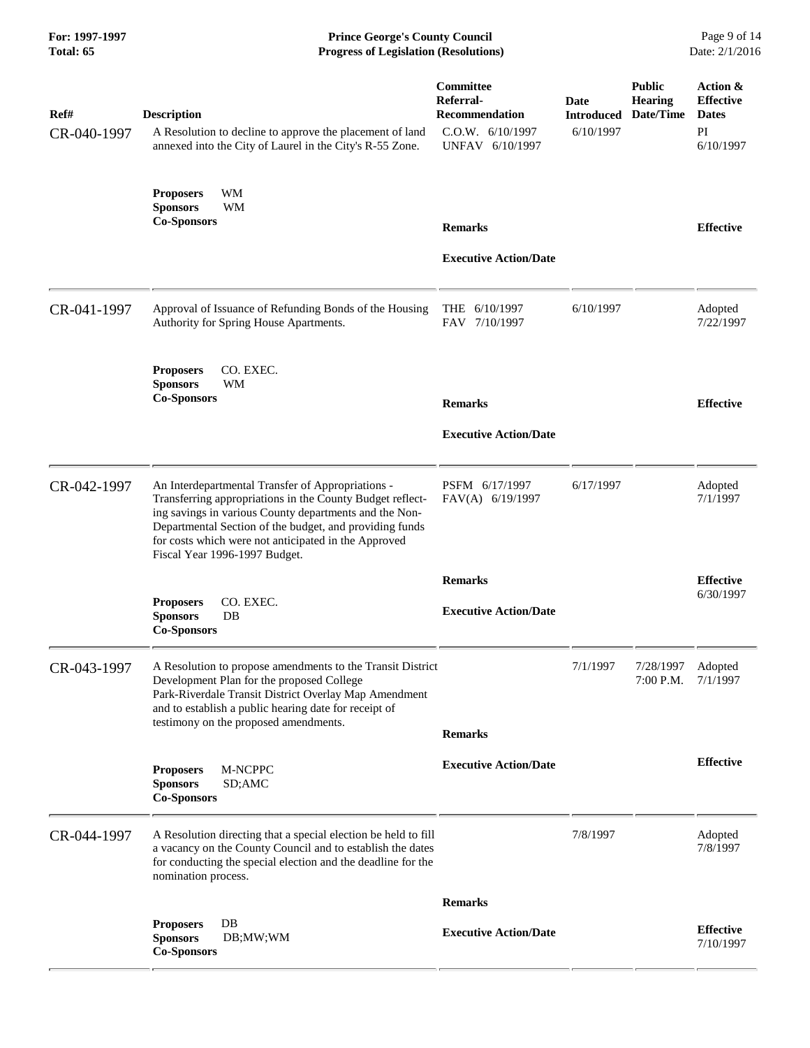| For: 1997-1997<br>Total: 65 | <b>Prince George's County Council</b><br>Date: 2/1/2016<br><b>Progress of Legislation (Resolutions)</b>                                                                                                                                                                                                                      |                                                                                        |                                               |                                              |                                                                 |
|-----------------------------|------------------------------------------------------------------------------------------------------------------------------------------------------------------------------------------------------------------------------------------------------------------------------------------------------------------------------|----------------------------------------------------------------------------------------|-----------------------------------------------|----------------------------------------------|-----------------------------------------------------------------|
| Ref#<br>CR-040-1997         | <b>Description</b><br>A Resolution to decline to approve the placement of land<br>annexed into the City of Laurel in the City's R-55 Zone.                                                                                                                                                                                   | Committee<br>Referral-<br><b>Recommendation</b><br>C.O.W. 6/10/1997<br>UNFAV 6/10/1997 | <b>Date</b><br><b>Introduced</b><br>6/10/1997 | <b>Public</b><br><b>Hearing</b><br>Date/Time | Action &<br><b>Effective</b><br><b>Dates</b><br>PI<br>6/10/1997 |
|                             | WM<br><b>Proposers</b><br><b>Sponsors</b><br><b>WM</b><br><b>Co-Sponsors</b>                                                                                                                                                                                                                                                 | <b>Remarks</b><br><b>Executive Action/Date</b>                                         |                                               |                                              | <b>Effective</b>                                                |
| CR-041-1997                 | Approval of Issuance of Refunding Bonds of the Housing<br>Authority for Spring House Apartments.                                                                                                                                                                                                                             | THE 6/10/1997<br>FAV 7/10/1997                                                         | 6/10/1997                                     |                                              | Adopted<br>7/22/1997                                            |
|                             | <b>Proposers</b><br>CO. EXEC.<br><b>Sponsors</b><br>WМ<br><b>Co-Sponsors</b>                                                                                                                                                                                                                                                 | <b>Remarks</b><br><b>Executive Action/Date</b>                                         |                                               |                                              | <b>Effective</b>                                                |
| CR-042-1997                 | An Interdepartmental Transfer of Appropriations -<br>Transferring appropriations in the County Budget reflect-<br>ing savings in various County departments and the Non-<br>Departmental Section of the budget, and providing funds<br>for costs which were not anticipated in the Approved<br>Fiscal Year 1996-1997 Budget. | PSFM 6/17/1997<br>FAV(A) 6/19/1997                                                     | 6/17/1997                                     |                                              | Adopted<br>7/1/1997                                             |
|                             | CO. EXEC.<br><b>Proposers</b><br>DB<br><b>Sponsors</b><br><b>Co-Sponsors</b>                                                                                                                                                                                                                                                 | <b>Remarks</b><br><b>Executive Action/Date</b>                                         |                                               |                                              | <b>Effective</b><br>6/30/1997                                   |
| CR-043-1997                 | A Resolution to propose amendments to the Transit District<br>Development Plan for the proposed College<br>Park-Riverdale Transit District Overlay Map Amendment<br>and to establish a public hearing date for receipt of<br>testimony on the proposed amendments.                                                           | <b>Remarks</b>                                                                         | 7/1/1997                                      | 7/28/1997<br>$7:00$ P.M.                     | Adopted<br>7/1/1997                                             |
|                             | M-NCPPC<br><b>Proposers</b><br><b>Sponsors</b><br>SD;AMC<br><b>Co-Sponsors</b>                                                                                                                                                                                                                                               | <b>Executive Action/Date</b>                                                           |                                               |                                              | <b>Effective</b>                                                |
| CR-044-1997                 | A Resolution directing that a special election be held to fill<br>a vacancy on the County Council and to establish the dates<br>for conducting the special election and the deadline for the<br>nomination process.                                                                                                          |                                                                                        | 7/8/1997                                      |                                              | Adopted<br>7/8/1997                                             |
|                             |                                                                                                                                                                                                                                                                                                                              | <b>Remarks</b>                                                                         |                                               |                                              |                                                                 |
|                             | $DB$<br><b>Proposers</b><br><b>Sponsors</b><br>DB;MW;WM<br><b>Co-Sponsors</b>                                                                                                                                                                                                                                                | <b>Executive Action/Date</b>                                                           |                                               |                                              | <b>Effective</b><br>7/10/1997                                   |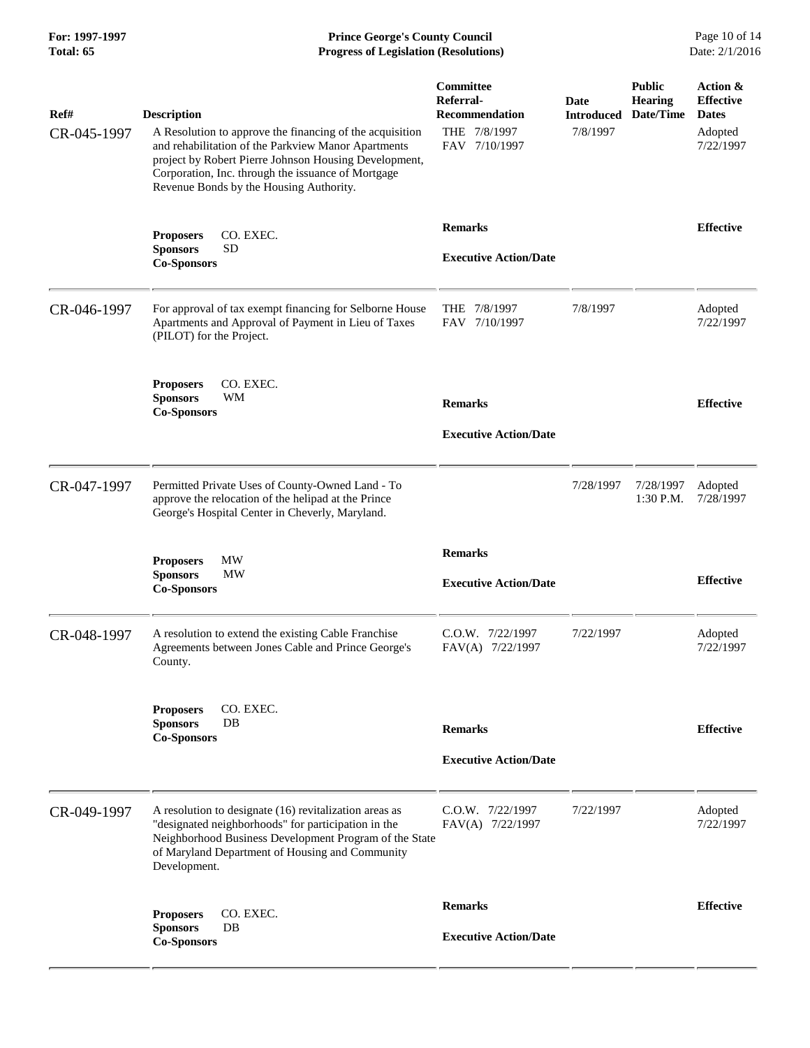**For: 1997-1997 Prince George's County Council** Page 10 of 14<br> **Progress of Legislation (Resolutions)** Date: 2/1/2016 **Total: 65 Progress of Legislation (Resolutions)** 

| Ref#<br>CR-045-1997 | <b>Description</b><br>A Resolution to approve the financing of the acquisition<br>and rehabilitation of the Parkview Manor Apartments<br>project by Robert Pierre Johnson Housing Development,<br>Corporation, Inc. through the issuance of Mortgage<br>Revenue Bonds by the Housing Authority. | Committee<br>Referral-<br><b>Recommendation</b><br>THE 7/8/1997<br>FAV 7/10/1997 | <b>Date</b><br><b>Introduced</b><br>7/8/1997 | <b>Public</b><br><b>Hearing</b><br>Date/Time | Action &<br><b>Effective</b><br><b>Dates</b><br>Adopted<br>7/22/1997 |
|---------------------|-------------------------------------------------------------------------------------------------------------------------------------------------------------------------------------------------------------------------------------------------------------------------------------------------|----------------------------------------------------------------------------------|----------------------------------------------|----------------------------------------------|----------------------------------------------------------------------|
|                     | CO. EXEC.<br><b>Proposers</b><br><b>Sponsors</b><br>SD<br><b>Co-Sponsors</b>                                                                                                                                                                                                                    | <b>Remarks</b><br><b>Executive Action/Date</b>                                   |                                              |                                              | <b>Effective</b>                                                     |
| CR-046-1997         | For approval of tax exempt financing for Selborne House<br>Apartments and Approval of Payment in Lieu of Taxes<br>(PILOT) for the Project.                                                                                                                                                      | THE 7/8/1997<br>FAV 7/10/1997                                                    | 7/8/1997                                     |                                              | Adopted<br>7/22/1997                                                 |
|                     | CO. EXEC.<br><b>Proposers</b><br><b>Sponsors</b><br>WM<br><b>Co-Sponsors</b>                                                                                                                                                                                                                    | <b>Remarks</b><br><b>Executive Action/Date</b>                                   |                                              |                                              | <b>Effective</b>                                                     |
| CR-047-1997         | Permitted Private Uses of County-Owned Land - To<br>approve the relocation of the helipad at the Prince<br>George's Hospital Center in Cheverly, Maryland.                                                                                                                                      |                                                                                  | 7/28/1997                                    | 7/28/1997<br>$1:30$ P.M.                     | Adopted<br>7/28/1997                                                 |
|                     | <b>Proposers</b><br>MW<br><b>Sponsors</b><br>MW<br><b>Co-Sponsors</b>                                                                                                                                                                                                                           | <b>Remarks</b><br><b>Executive Action/Date</b>                                   |                                              |                                              | <b>Effective</b>                                                     |
| CR-048-1997         | A resolution to extend the existing Cable Franchise<br>Agreements between Jones Cable and Prince George's<br>County.                                                                                                                                                                            | C.O.W. 7/22/1997<br>FAV(A) 7/22/1997                                             | 7/22/1997                                    |                                              | Adopted<br>7/22/1997                                                 |
|                     | CO. EXEC.<br><b>Proposers</b><br><b>Sponsors</b><br>DB<br><b>Co-Sponsors</b>                                                                                                                                                                                                                    | <b>Remarks</b><br><b>Executive Action/Date</b>                                   |                                              |                                              | <b>Effective</b>                                                     |
| CR-049-1997         | A resolution to designate (16) revitalization areas as<br>"designated neighborhoods" for participation in the<br>Neighborhood Business Development Program of the State<br>of Maryland Department of Housing and Community<br>Development.                                                      | $C.0.W.$ $7/22/1997$<br>FAV(A) 7/22/1997                                         | 7/22/1997                                    |                                              | Adopted<br>7/22/1997                                                 |
|                     | <b>Proposers</b><br>CO. EXEC.<br>DB<br><b>Sponsors</b><br><b>Co-Sponsors</b>                                                                                                                                                                                                                    | <b>Remarks</b><br><b>Executive Action/Date</b>                                   |                                              |                                              | <b>Effective</b>                                                     |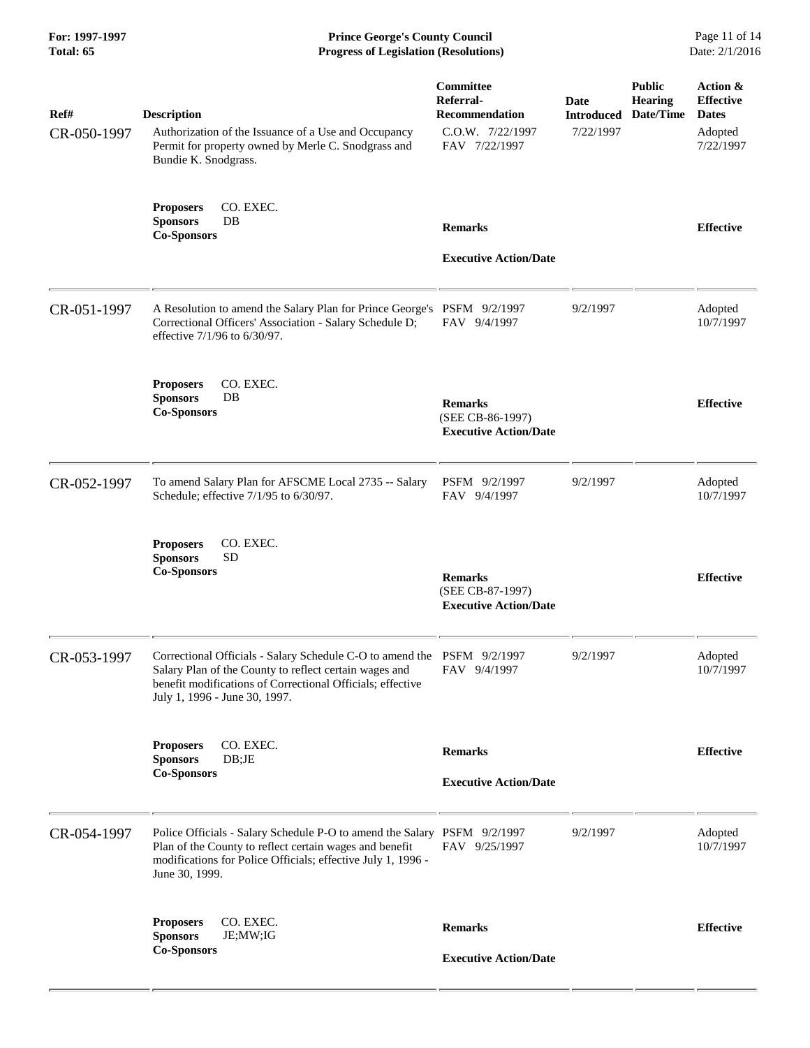**For: 1997-1997 Prince George's County Council** Page 11 of 14<br> **Progress of Legislation (Resolutions)** Date: 2/1/2016 **Total: 65 Progress of Legislation (Resolutions)** 

| Ref#<br>CR-050-1997 | <b>Description</b><br>Authorization of the Issuance of a Use and Occupancy<br>Permit for property owned by Merle C. Snodgrass and<br>Bundie K. Snodgrass.                                                                        | Committee<br>Referral-<br><b>Recommendation</b><br>C.O.W. 7/22/1997<br>FAV 7/22/1997 | Date<br><b>Introduced</b><br>7/22/1997 | <b>Public</b><br><b>Hearing</b><br>Date/Time | Action &<br><b>Effective</b><br><b>Dates</b><br>Adopted<br>7/22/1997 |
|---------------------|----------------------------------------------------------------------------------------------------------------------------------------------------------------------------------------------------------------------------------|--------------------------------------------------------------------------------------|----------------------------------------|----------------------------------------------|----------------------------------------------------------------------|
|                     | <b>Proposers</b><br>CO. EXEC.<br>DB<br><b>Sponsors</b><br><b>Co-Sponsors</b>                                                                                                                                                     | <b>Remarks</b><br><b>Executive Action/Date</b>                                       |                                        |                                              | <b>Effective</b>                                                     |
| CR-051-1997         | A Resolution to amend the Salary Plan for Prince George's PSFM 9/2/1997<br>Correctional Officers' Association - Salary Schedule D;<br>effective 7/1/96 to 6/30/97.                                                               | FAV 9/4/1997                                                                         | 9/2/1997                               |                                              | Adopted<br>10/7/1997                                                 |
|                     | CO. EXEC.<br><b>Proposers</b><br><b>Sponsors</b><br>DB<br><b>Co-Sponsors</b>                                                                                                                                                     | <b>Remarks</b><br>(SEE CB-86-1997)<br><b>Executive Action/Date</b>                   |                                        |                                              | <b>Effective</b>                                                     |
| CR-052-1997         | To amend Salary Plan for AFSCME Local 2735 -- Salary<br>Schedule; effective 7/1/95 to 6/30/97.                                                                                                                                   | PSFM 9/2/1997<br>FAV 9/4/1997                                                        | 9/2/1997                               |                                              | Adopted<br>10/7/1997                                                 |
|                     | CO. EXEC.<br><b>Proposers</b><br><b>Sponsors</b><br><b>SD</b><br><b>Co-Sponsors</b>                                                                                                                                              | <b>Remarks</b><br>(SEE CB-87-1997)<br><b>Executive Action/Date</b>                   |                                        |                                              | <b>Effective</b>                                                     |
| CR-053-1997         | Correctional Officials - Salary Schedule C-O to amend the PSFM 9/2/1997<br>Salary Plan of the County to reflect certain wages and<br>benefit modifications of Correctional Officials; effective<br>July 1, 1996 - June 30, 1997. | FAV 9/4/1997                                                                         | 9/2/1997                               |                                              | Adopted<br>10/7/1997                                                 |
|                     | CO. EXEC.<br><b>Proposers</b><br><b>Sponsors</b><br>DB;JE<br><b>Co-Sponsors</b>                                                                                                                                                  | <b>Remarks</b><br><b>Executive Action/Date</b>                                       |                                        |                                              | <b>Effective</b>                                                     |
| CR-054-1997         | Police Officials - Salary Schedule P-O to amend the Salary PSFM 9/2/1997<br>Plan of the County to reflect certain wages and benefit<br>modifications for Police Officials; effective July 1, 1996 -<br>June 30, 1999.            | FAV 9/25/1997                                                                        | 9/2/1997                               |                                              | Adopted<br>10/7/1997                                                 |
|                     | CO. EXEC.<br><b>Proposers</b><br><b>Sponsors</b><br>JE;MW;IG<br><b>Co-Sponsors</b>                                                                                                                                               | <b>Remarks</b><br><b>Executive Action/Date</b>                                       |                                        |                                              | <b>Effective</b>                                                     |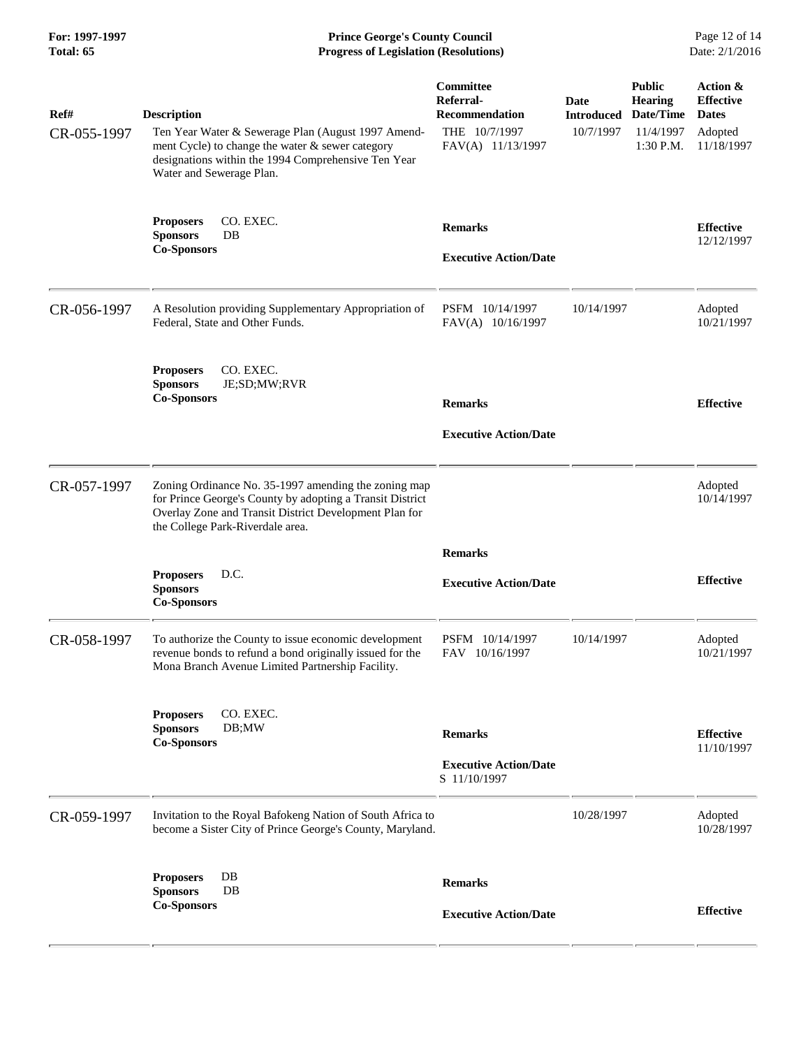**For: 1997-1997 Prince George's County Council** Page 12 of 14<br> **Progress of Legislation (Resolutions)** Date: 2/1/2016 **Total: 65 Progress of Legislation (Resolutions)** 

| Ref#<br>CR-055-1997 | <b>Description</b><br>Ten Year Water & Sewerage Plan (August 1997 Amend-<br>ment Cycle) to change the water & sewer category<br>designations within the 1994 Comprehensive Ten Year<br>Water and Sewerage Plan. | Committee<br>Referral-<br><b>Recommendation</b><br>THE 10/7/1997<br>FAV(A) 11/13/1997 | <b>Date</b><br><b>Introduced</b><br>10/7/1997 | <b>Public</b><br><b>Hearing</b><br>Date/Time<br>11/4/1997<br>1:30 P.M. | Action &<br><b>Effective</b><br><b>Dates</b><br>Adopted<br>11/18/1997 |
|---------------------|-----------------------------------------------------------------------------------------------------------------------------------------------------------------------------------------------------------------|---------------------------------------------------------------------------------------|-----------------------------------------------|------------------------------------------------------------------------|-----------------------------------------------------------------------|
|                     | CO. EXEC.<br><b>Proposers</b><br><b>Sponsors</b><br>DB<br><b>Co-Sponsors</b>                                                                                                                                    | <b>Remarks</b><br><b>Executive Action/Date</b>                                        |                                               |                                                                        | <b>Effective</b><br>12/12/1997                                        |
| CR-056-1997         | A Resolution providing Supplementary Appropriation of<br>Federal, State and Other Funds.                                                                                                                        | PSFM 10/14/1997<br>FAV(A) 10/16/1997                                                  | 10/14/1997                                    |                                                                        | Adopted<br>10/21/1997                                                 |
|                     | CO. EXEC.<br><b>Proposers</b><br><b>Sponsors</b><br>JE;SD;MW;RVR<br><b>Co-Sponsors</b>                                                                                                                          | <b>Remarks</b><br><b>Executive Action/Date</b>                                        |                                               |                                                                        | <b>Effective</b>                                                      |
| CR-057-1997         | Zoning Ordinance No. 35-1997 amending the zoning map<br>for Prince George's County by adopting a Transit District<br>Overlay Zone and Transit District Development Plan for<br>the College Park-Riverdale area. |                                                                                       |                                               |                                                                        | Adopted<br>10/14/1997                                                 |
|                     | D.C.<br><b>Proposers</b><br><b>Sponsors</b><br><b>Co-Sponsors</b>                                                                                                                                               | <b>Remarks</b><br><b>Executive Action/Date</b>                                        |                                               |                                                                        | <b>Effective</b>                                                      |
| CR-058-1997         | To authorize the County to issue economic development<br>revenue bonds to refund a bond originally issued for the<br>Mona Branch Avenue Limited Partnership Facility.                                           | PSFM 10/14/1997<br>FAV 10/16/1997                                                     | 10/14/1997                                    |                                                                        | Adopted<br>10/21/1997                                                 |
|                     | CO. EXEC.<br><b>Proposers</b><br><b>Sponsors</b><br>DB;MW<br><b>Co-Sponsors</b>                                                                                                                                 | <b>Remarks</b><br><b>Executive Action/Date</b><br>S 11/10/1997                        |                                               |                                                                        | <b>Effective</b><br>11/10/1997                                        |
| CR-059-1997         | Invitation to the Royal Bafokeng Nation of South Africa to<br>become a Sister City of Prince George's County, Maryland.                                                                                         |                                                                                       | 10/28/1997                                    |                                                                        | Adopted<br>10/28/1997                                                 |
|                     | DB<br><b>Proposers</b><br><b>Sponsors</b><br>DB<br><b>Co-Sponsors</b>                                                                                                                                           | <b>Remarks</b><br><b>Executive Action/Date</b>                                        |                                               |                                                                        | <b>Effective</b>                                                      |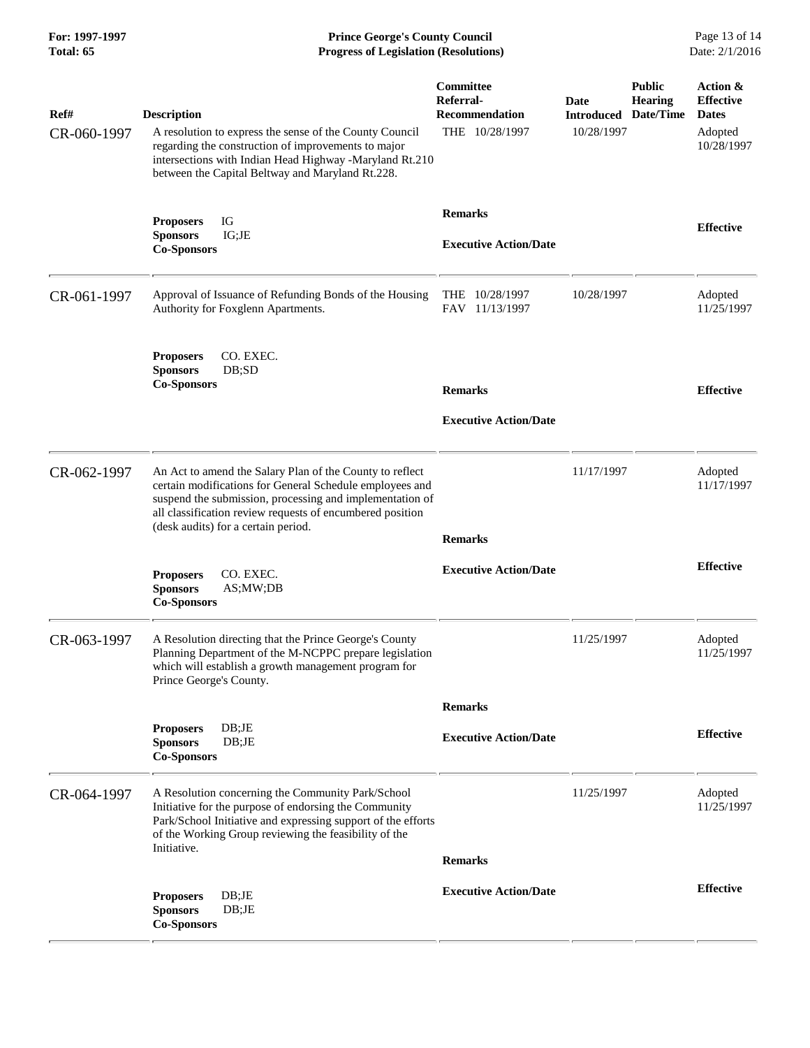**For: 1997-1997 Prince George's County Council** Page 13 of 14<br> **Progress of Legislation (Resolutions)** Date: 2/1/2016 **Total: 65 Progress of Legislation (Resolutions)** 

| Ref#<br>CR-060-1997 | <b>Description</b><br>A resolution to express the sense of the County Council<br>regarding the construction of improvements to major<br>intersections with Indian Head Highway -Maryland Rt.210<br>between the Capital Beltway and Maryland Rt.228.                                  | Committee<br>Referral-<br><b>Recommendation</b><br>THE 10/28/1997 | Date<br><b>Introduced</b><br>10/28/1997 | <b>Public</b><br><b>Hearing</b><br>Date/Time | Action &<br><b>Effective</b><br><b>Dates</b><br>Adopted<br>10/28/1997 |
|---------------------|--------------------------------------------------------------------------------------------------------------------------------------------------------------------------------------------------------------------------------------------------------------------------------------|-------------------------------------------------------------------|-----------------------------------------|----------------------------------------------|-----------------------------------------------------------------------|
|                     | IG<br><b>Proposers</b><br><b>Sponsors</b><br>IG:JE<br><b>Co-Sponsors</b>                                                                                                                                                                                                             | <b>Remarks</b><br><b>Executive Action/Date</b>                    |                                         |                                              | <b>Effective</b>                                                      |
| CR-061-1997         | Approval of Issuance of Refunding Bonds of the Housing<br>Authority for Foxglenn Apartments.                                                                                                                                                                                         | THE 10/28/1997<br>FAV 11/13/1997                                  | 10/28/1997                              |                                              | Adopted<br>11/25/1997                                                 |
|                     | CO. EXEC.<br><b>Proposers</b><br><b>Sponsors</b><br>DB;SD<br><b>Co-Sponsors</b>                                                                                                                                                                                                      | <b>Remarks</b><br><b>Executive Action/Date</b>                    |                                         |                                              | <b>Effective</b>                                                      |
| CR-062-1997         | An Act to amend the Salary Plan of the County to reflect<br>certain modifications for General Schedule employees and<br>suspend the submission, processing and implementation of<br>all classification review requests of encumbered position<br>(desk audits) for a certain period. | <b>Remarks</b>                                                    | 11/17/1997                              |                                              | Adopted<br>11/17/1997                                                 |
|                     | CO. EXEC.<br><b>Proposers</b><br><b>Sponsors</b><br>AS; MW; DB<br><b>Co-Sponsors</b>                                                                                                                                                                                                 | <b>Executive Action/Date</b>                                      |                                         |                                              | <b>Effective</b>                                                      |
| CR-063-1997         | A Resolution directing that the Prince George's County<br>Planning Department of the M-NCPPC prepare legislation<br>which will establish a growth management program for<br>Prince George's County.                                                                                  |                                                                   | 11/25/1997                              |                                              | Adopted<br>11/25/1997                                                 |
|                     |                                                                                                                                                                                                                                                                                      | <b>Remarks</b>                                                    |                                         |                                              |                                                                       |
|                     | DB;JE<br><b>Proposers</b><br>DB;JE<br><b>Sponsors</b><br><b>Co-Sponsors</b>                                                                                                                                                                                                          | <b>Executive Action/Date</b>                                      |                                         |                                              | <b>Effective</b>                                                      |
| CR-064-1997         | A Resolution concerning the Community Park/School<br>Initiative for the purpose of endorsing the Community<br>Park/School Initiative and expressing support of the efforts<br>of the Working Group reviewing the feasibility of the<br>Initiative.                                   |                                                                   | 11/25/1997                              |                                              | Adopted<br>11/25/1997                                                 |
|                     |                                                                                                                                                                                                                                                                                      | <b>Remarks</b>                                                    |                                         |                                              |                                                                       |
|                     | DB;JE<br><b>Proposers</b><br><b>Sponsors</b><br>DB;JE<br><b>Co-Sponsors</b>                                                                                                                                                                                                          | <b>Executive Action/Date</b>                                      |                                         |                                              | <b>Effective</b>                                                      |